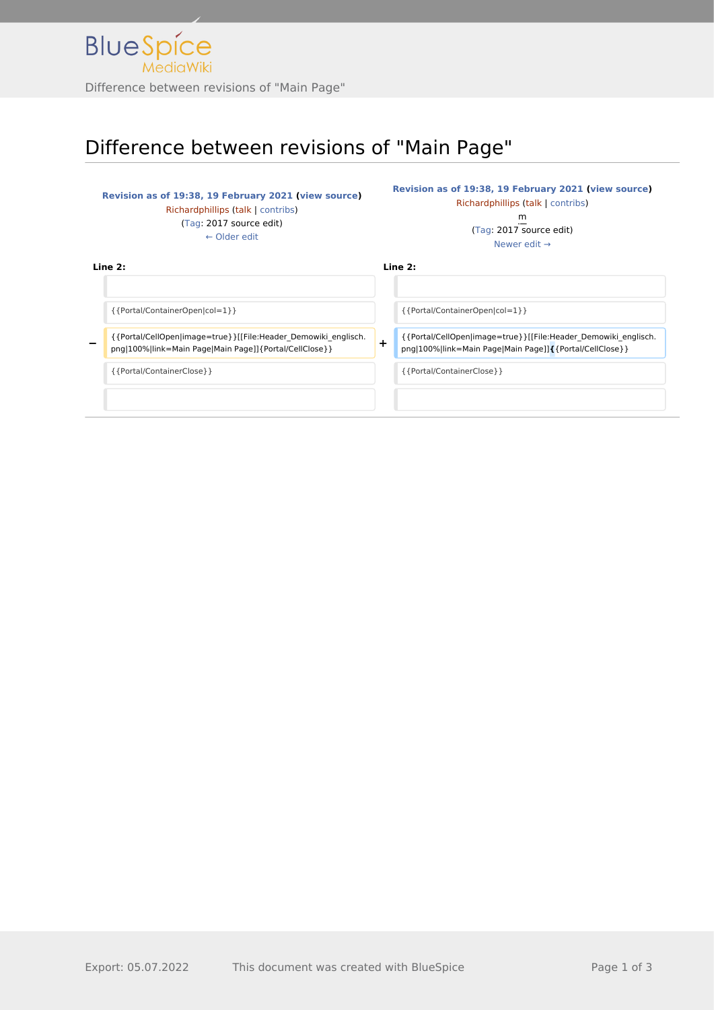

# Difference between revisions of "Main Page"

### **[Revision as of 19:38, 19 February 2021](http://www.greenwichyachtclub.co.uk/w/index.php?title=Main_Page&oldid=41) [\(view source](http://www.greenwichyachtclub.co.uk/w/index.php?title=Main_Page&action=edit&oldid=41))** [Richardphillips](http://www.greenwichyachtclub.co.uk/w/index.php?title=User:Richardphillips&action=view) [\(talk](http://www.greenwichyachtclub.co.uk/w/index.php?title=User_talk:Richardphillips&action=view) | [contribs\)](http://www.greenwichyachtclub.co.uk/wiki/Special:Contributions/Richardphillips) [\(Tag](http://www.greenwichyachtclub.co.uk/wiki/Special:Tags): 2017 source edit) [← Older edit](http://www.greenwichyachtclub.co.uk/w/index.php?title=Main_Page&diff=prev&oldid=41)

**[Revision as of 19:38, 19 February 2021](http://www.greenwichyachtclub.co.uk/w/index.php?title=Main_Page&oldid=42) [\(view source\)](http://www.greenwichyachtclub.co.uk/w/index.php?title=Main_Page&action=edit&oldid=42)** [Richardphillips](http://www.greenwichyachtclub.co.uk/w/index.php?title=User:Richardphillips&action=view) ([talk](http://www.greenwichyachtclub.co.uk/w/index.php?title=User_talk:Richardphillips&action=view) | [contribs](http://www.greenwichyachtclub.co.uk/wiki/Special:Contributions/Richardphillips)) m

[\(Tag:](http://www.greenwichyachtclub.co.uk/wiki/Special:Tags) 2017 source edit) [Newer edit →](http://www.greenwichyachtclub.co.uk/w/index.php?title=Main_Page&diff=next&oldid=42)

**Line 2: Line 2:**

{{Portal/ContainerOpen|col=1}} {{Portal/ContainerOpen|col=1}}

**−** {{Portal/CellOpen|image=true}}[[File:Header\_Demowiki\_englisch. png|100%|link=Main Page|Main Page]]{Portal/CellClose}} **+**

{{Portal/CellOpen|image=true}}[[File:Header\_Demowiki\_englisch. png|100%|link=Main Page|Main Page]]**{**{Portal/CellClose}}

{{Portal/ContainerClose}} {{Portal/ContainerClose}}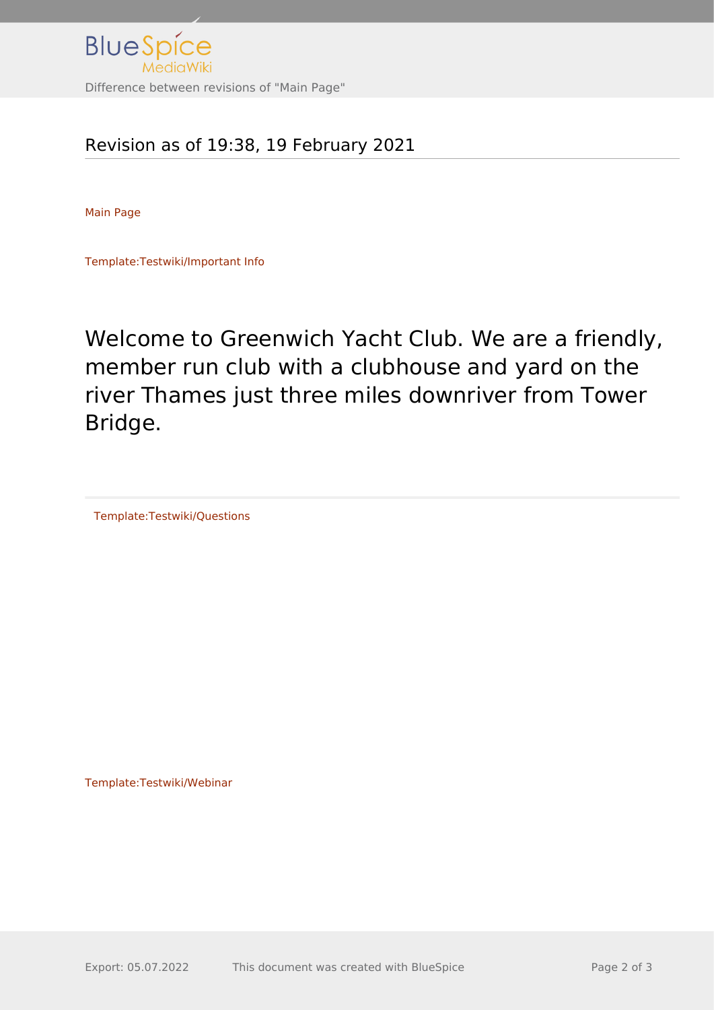

## Revision as of 19:38, 19 February 2021

[Main Page](http://www.greenwichyachtclub.co.uk/w/index.php?title=Special:Upload&wpDestFile=Header_Demowiki_englisch.png)

[Template:Testwiki/Important Info](http://www.greenwichyachtclub.co.uk/w/index.php?title=Template:Testwiki/Important_Info&action=edit&redlink=1)

Welcome to Greenwich Yacht Club. We are a friendly, member run club with a clubhouse and yard on the river Thames just three miles downriver from Tower Bridge.

[Template:Testwiki/Questions](http://www.greenwichyachtclub.co.uk/w/index.php?title=Template:Testwiki/Questions&action=edit&redlink=1)

[Template:Testwiki/Webinar](http://www.greenwichyachtclub.co.uk/w/index.php?title=Template:Testwiki/Webinar&action=edit&redlink=1)